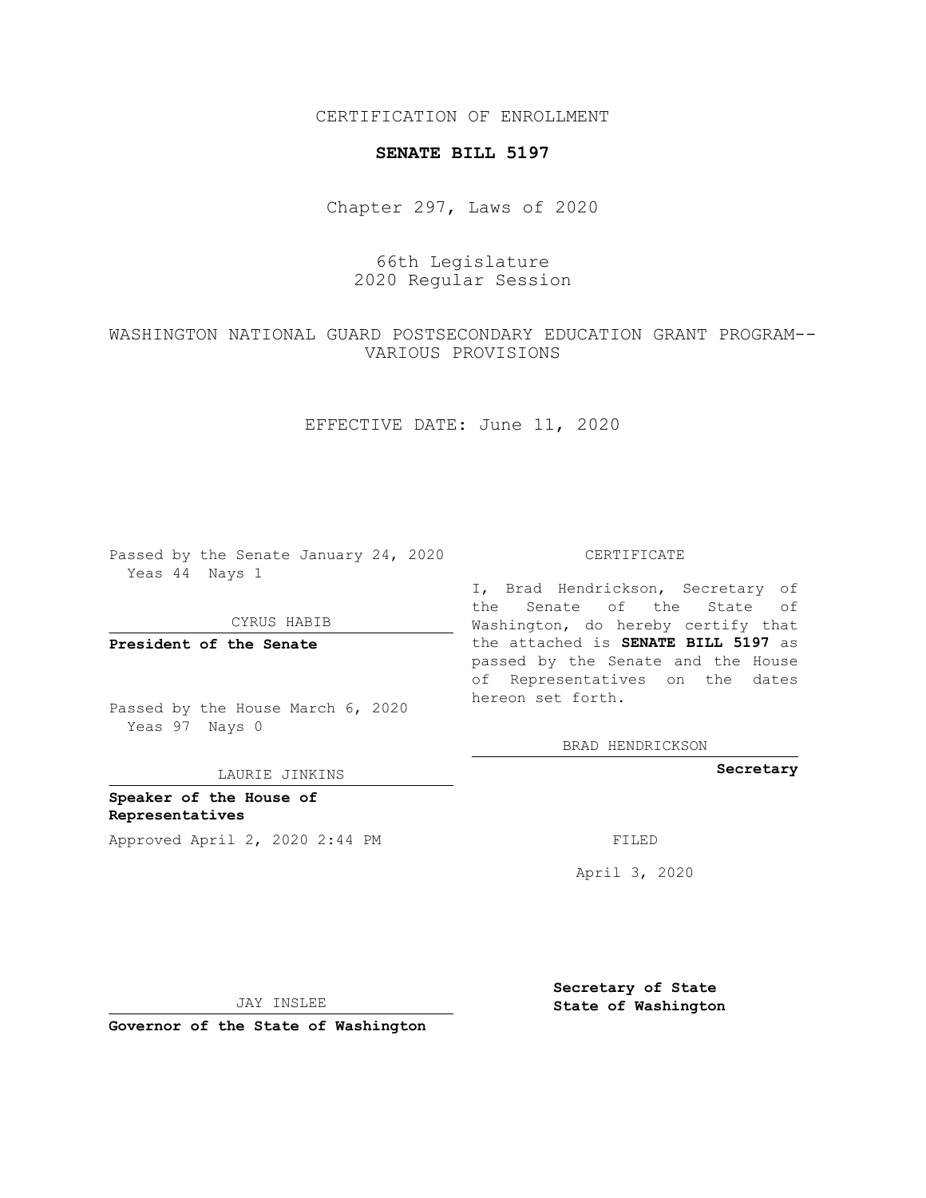CERTIFICATION OF ENROLLMENT

## **SENATE BILL 5197**

Chapter 297, Laws of 2020

## 66th Legislature 2020 Regular Session

## WASHINGTON NATIONAL GUARD POSTSECONDARY EDUCATION GRANT PROGRAM-- VARIOUS PROVISIONS

EFFECTIVE DATE: June 11, 2020

Passed by the Senate January 24, 2020 Yeas 44 Nays 1

CYRUS HABIB

**President of the Senate**

Passed by the House March 6, 2020 Yeas 97 Nays 0

LAURIE JINKINS

**Speaker of the House of Representatives** Approved April 2, 2020 2:44 PM

CERTIFICATE

I, Brad Hendrickson, Secretary of the Senate of the State of Washington, do hereby certify that the attached is **SENATE BILL 5197** as passed by the Senate and the House of Representatives on the dates hereon set forth.

BRAD HENDRICKSON

**Secretary**

April 3, 2020

JAY INSLEE

**Governor of the State of Washington**

**Secretary of State State of Washington**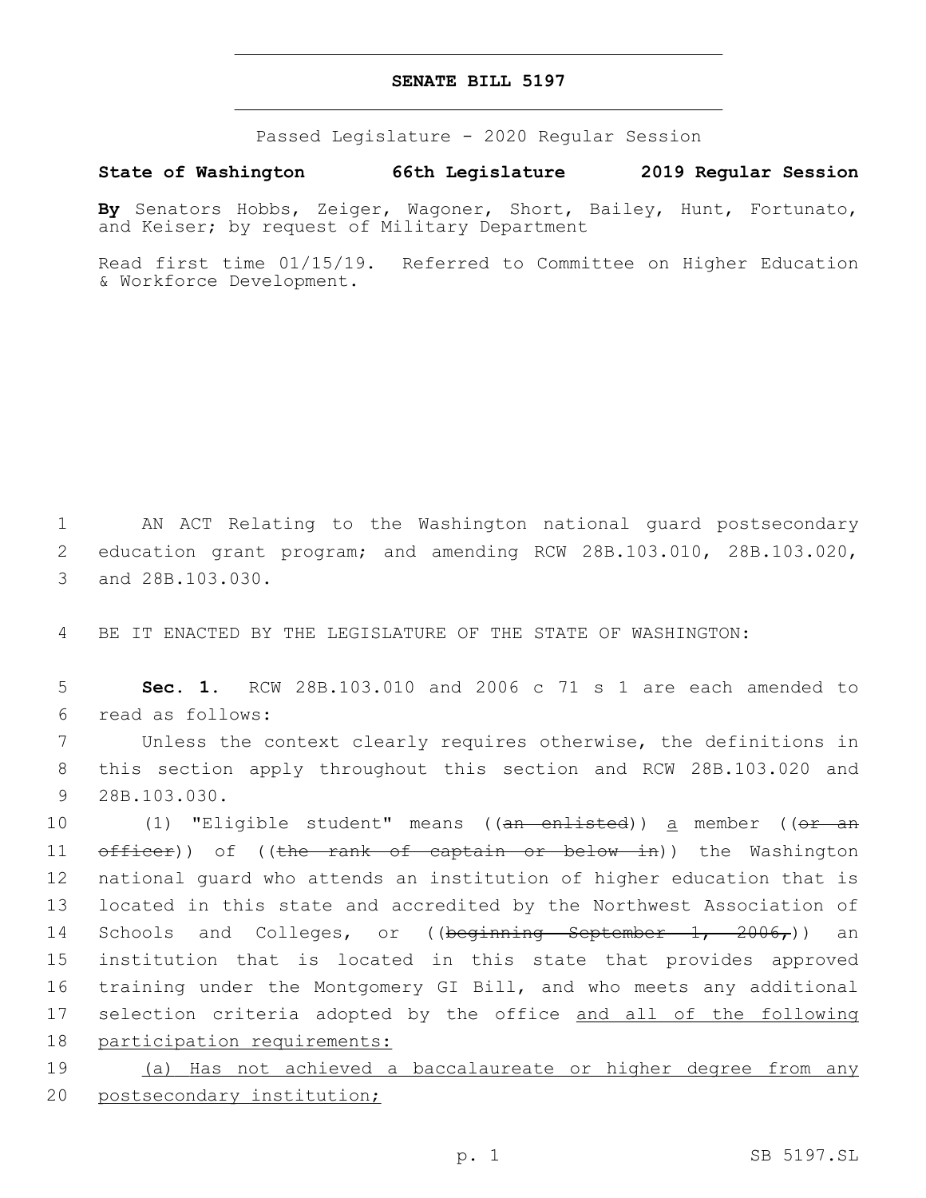## **SENATE BILL 5197**

Passed Legislature - 2020 Regular Session

**State of Washington 66th Legislature 2019 Regular Session**

**By** Senators Hobbs, Zeiger, Wagoner, Short, Bailey, Hunt, Fortunato, and Keiser; by request of Military Department

Read first time 01/15/19. Referred to Committee on Higher Education & Workforce Development.

1 AN ACT Relating to the Washington national guard postsecondary 2 education grant program; and amending RCW 28B.103.010, 28B.103.020, 3 and 28B.103.030.

4 BE IT ENACTED BY THE LEGISLATURE OF THE STATE OF WASHINGTON:

5 **Sec. 1.** RCW 28B.103.010 and 2006 c 71 s 1 are each amended to read as follows:6

7 Unless the context clearly requires otherwise, the definitions in 8 this section apply throughout this section and RCW 28B.103.020 and 9 28B.103.030.

10 (1) "Eligible student" means ((an enlisted)) a member ((or an 11 officer)) of ((the rank of captain or below in)) the Washington 12 national guard who attends an institution of higher education that is 13 located in this state and accredited by the Northwest Association of 14 Schools and Colleges, or ((beginning September 1, 2006,)) an 15 institution that is located in this state that provides approved 16 training under the Montgomery GI Bill, and who meets any additional 17 selection criteria adopted by the office and all of the following 18 participation requirements:

19 (a) Has not achieved a baccalaureate or higher degree from any 20 postsecondary institution;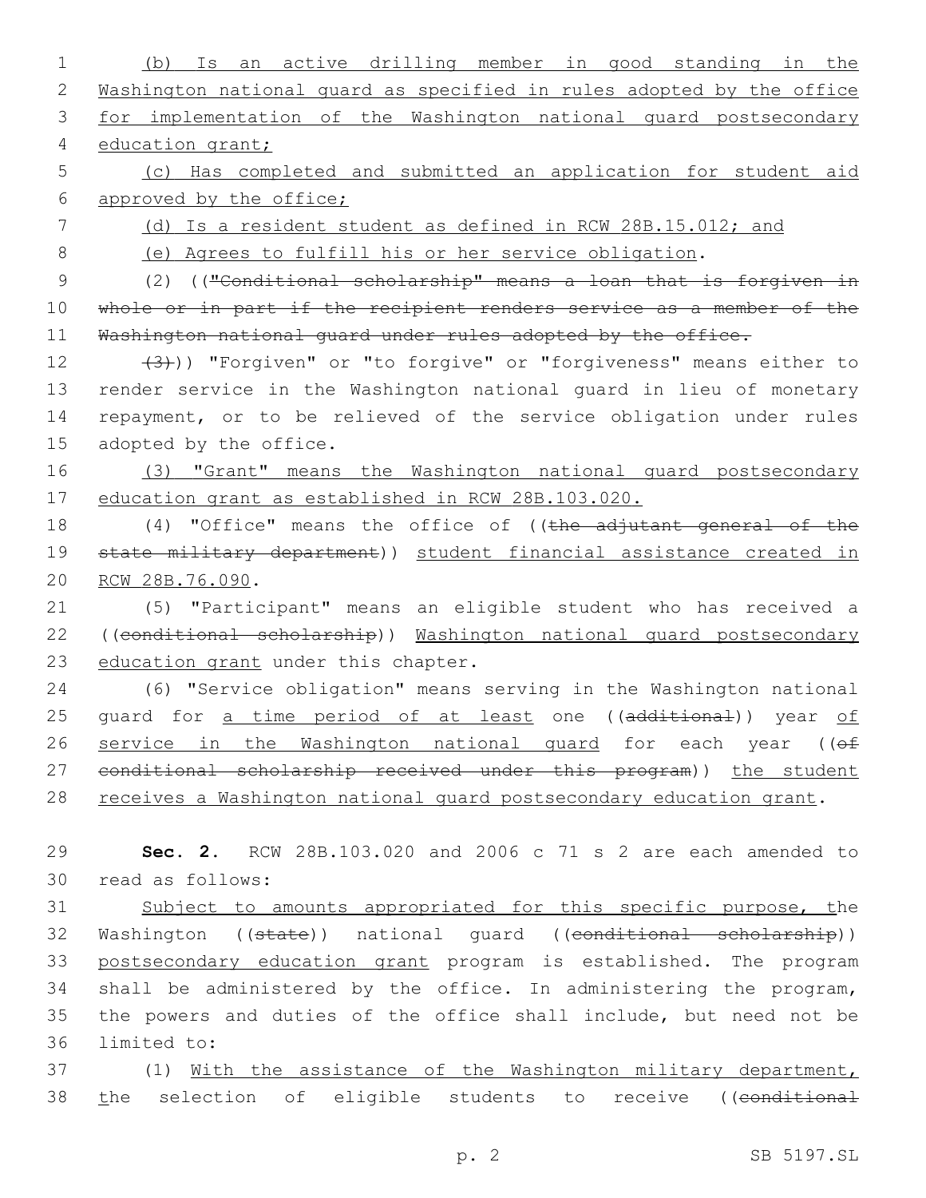1 (b) Is an active drilling member in good standing in the 2 Washington national guard as specified in rules adopted by the office 3 for implementation of the Washington national guard postsecondary 4 education grant; 5 (c) Has completed and submitted an application for student aid 6 approved by the office; 7 (d) Is a resident student as defined in RCW 28B.15.012; and 8 (e) Agrees to fulfill his or her service obligation. 9 (2) (("Conditional scholarship" means a loan that is forgiven in 10 whole or in part if the recipient renders service as a member of the 11 Washington national guard under rules adopted by the office. 12 (3))) "Forgiven" or "to forgive" or "forgiveness" means either to 13 render service in the Washington national guard in lieu of monetary 14 repayment, or to be relieved of the service obligation under rules 15 adopted by the office. 16 (3) "Grant" means the Washington national guard postsecondary 17 education grant as established in RCW 28B.103.020. 18 (4) "Office" means the office of ((the adjutant general of the 19 state military department)) student financial assistance created in 20 RCW 28B.76.090. 21 (5) "Participant" means an eligible student who has received a 22 ((conditional scholarship)) Washington national guard postsecondary 23 education grant under this chapter. 24 (6) "Service obligation" means serving in the Washington national 25 guard for a time period of at least one ((additional)) year of 26 service in the Washington national quard for each year ((of 27 conditional scholarship received under this program)) the student 28 receives a Washington national quard postsecondary education grant. 29 **Sec. 2.** RCW 28B.103.020 and 2006 c 71 s 2 are each amended to 30 read as follows: 31 Subject to amounts appropriated for this specific purpose, the 32 Washington ((state)) national guard ((conditional scholarship)) 33 postsecondary education grant program is established. The program 34 shall be administered by the office. In administering the program, 35 the powers and duties of the office shall include, but need not be 36 limited to:

37 (1) With the assistance of the Washington military department, 38 the selection of eligible students to receive ((conditional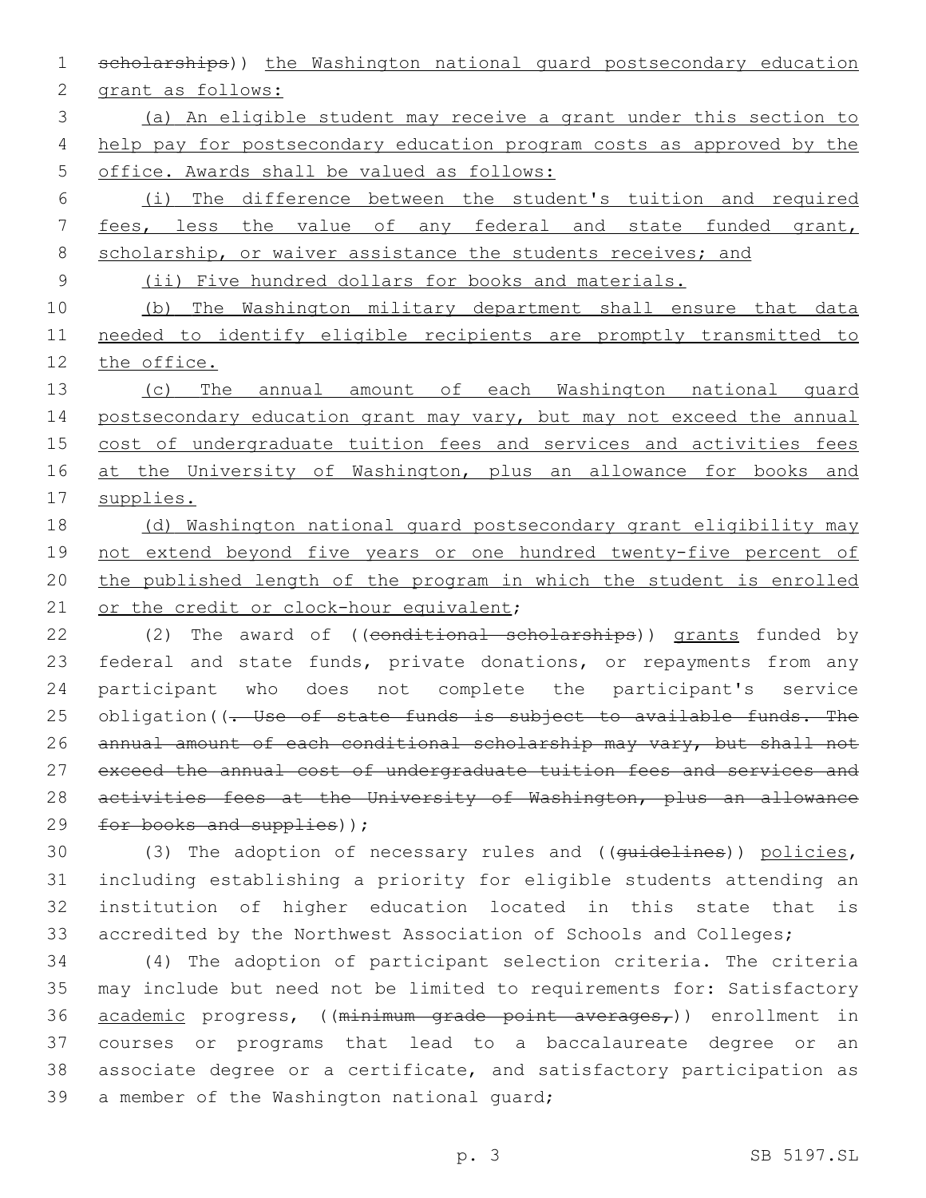1 scholarships)) the Washington national guard postsecondary education

2 grant as follows:

3 (a) An eligible student may receive a grant under this section to 4 help pay for postsecondary education program costs as approved by the 5 office. Awards shall be valued as follows:

6 (i) The difference between the student's tuition and required 7 fees, less the value of any federal and state funded grant, 8 scholarship, or waiver assistance the students receives; and

9 (ii) Five hundred dollars for books and materials.

10 (b) The Washington military department shall ensure that data 11 needed to identify eligible recipients are promptly transmitted to 12 the office.

13 (c) The annual amount of each Washington national guard 14 postsecondary education grant may vary, but may not exceed the annual 15 cost of undergraduate tuition fees and services and activities fees 16 at the University of Washington, plus an allowance for books and 17 supplies.

18 (d) Washington national guard postsecondary grant eligibility may 19 not extend beyond five years or one hundred twenty-five percent of 20 the published length of the program in which the student is enrolled 21 or the credit or clock-hour equivalent;

22 (2) The award of ((conditional scholarships)) grants funded by 23 federal and state funds, private donations, or repayments from any 24 participant who does not complete the participant's service 25 obligation ((. Use of state funds is subject to available funds. The 26 annual amount of each conditional scholarship may vary, but shall not 27 exceed the annual cost of undergraduate tuition fees and services and 28 activities fees at the University of Washington, plus an allowance 29  $for$  books and supplies));

30 (3) The adoption of necessary rules and ((guidelines)) policies, 31 including establishing a priority for eligible students attending an 32 institution of higher education located in this state that is 33 accredited by the Northwest Association of Schools and Colleges;

 (4) The adoption of participant selection criteria. The criteria may include but need not be limited to requirements for: Satisfactory 36 academic progress, ((minimum grade point averages,)) enrollment in courses or programs that lead to a baccalaureate degree or an associate degree or a certificate, and satisfactory participation as 39 a member of the Washington national guard;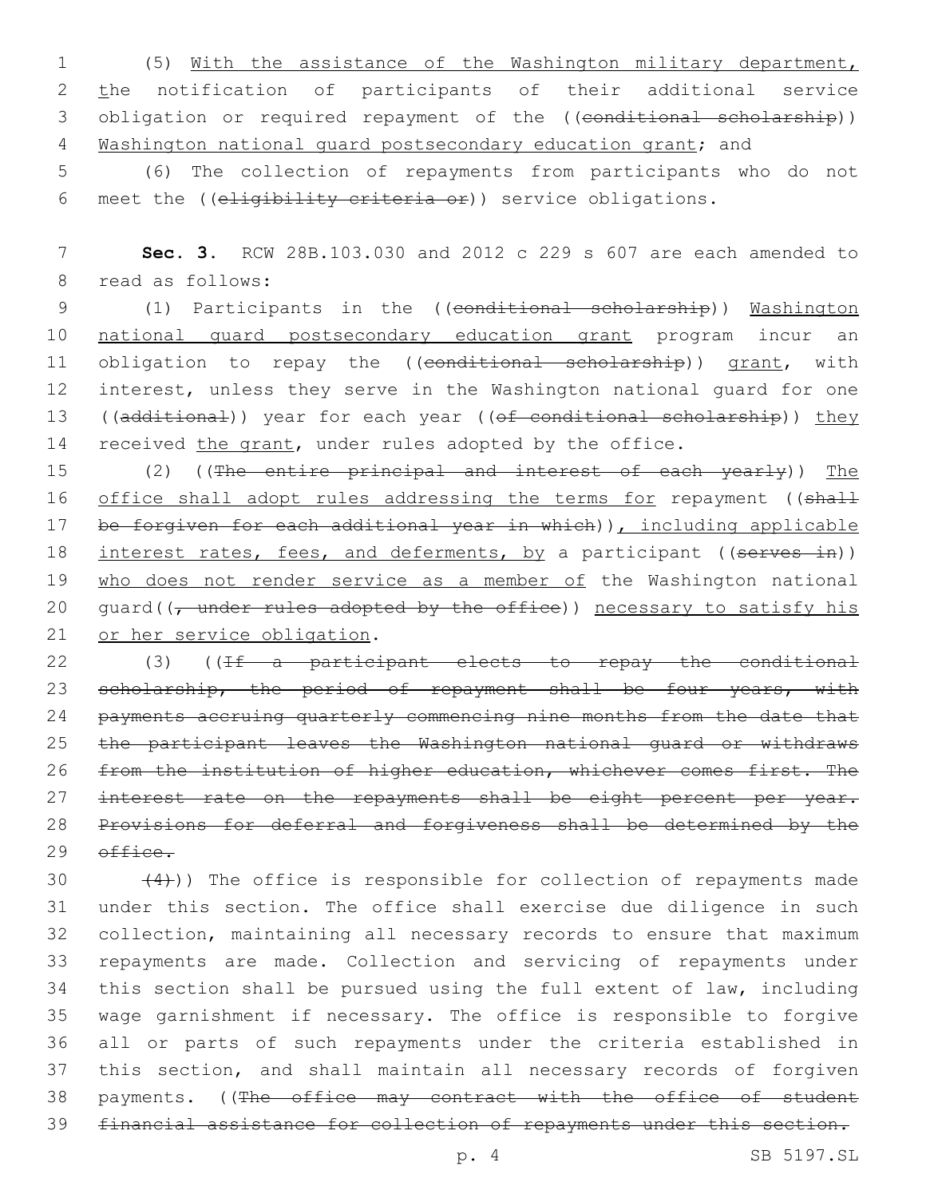1 (5) With the assistance of the Washington military department, 2 the notification of participants of their additional service 3 obligation or required repayment of the ((conditional scholarship)) 4 Washington national quard postsecondary education grant; and

5 (6) The collection of repayments from participants who do not 6 meet the ((eligibility criteria or)) service obligations.

7 **Sec. 3.** RCW 28B.103.030 and 2012 c 229 s 607 are each amended to 8 read as follows:

9 (1) Participants in the ((conditional scholarship)) Washington 10 national guard postsecondary education grant program incur an 11 obligation to repay the ((conditional scholarship)) grant, with 12 interest, unless they serve in the Washington national guard for one 13 ((additional)) year for each year ((of conditional scholarship)) they 14 received the grant, under rules adopted by the office.

15 (2) ((The entire principal and interest of each yearly)) The 16 office shall adopt rules addressing the terms for repayment ((shall 17 be forgiven for each additional year in which)), including applicable 18 interest rates, fees, and deferments, by a participant ((serves in)) 19 who does not render service as a member of the Washington national 20 quard( $\sqrt{t}$  under rules adopted by the office)) necessary to satisfy his 21 or her service obligation.

22 (3) ((If a participant elects to repay the conditional 23 scholarship, the period of repayment shall be four years, with 24 payments accruing quarterly commencing nine months from the date that 25 the participant leaves the Washington national guard or withdraws 26 from the institution of higher education, whichever comes first. The 27 interest rate on the repayments shall be eight percent per year. 28 Provisions for deferral and forgiveness shall be determined by the  $29$   $\theta$ ffice.

 $(4)$ )) The office is responsible for collection of repayments made under this section. The office shall exercise due diligence in such collection, maintaining all necessary records to ensure that maximum repayments are made. Collection and servicing of repayments under this section shall be pursued using the full extent of law, including wage garnishment if necessary. The office is responsible to forgive all or parts of such repayments under the criteria established in this section, and shall maintain all necessary records of forgiven 38 payments. ((The office may contract with the office of student financial assistance for collection of repayments under this section.

p. 4 SB 5197.SL